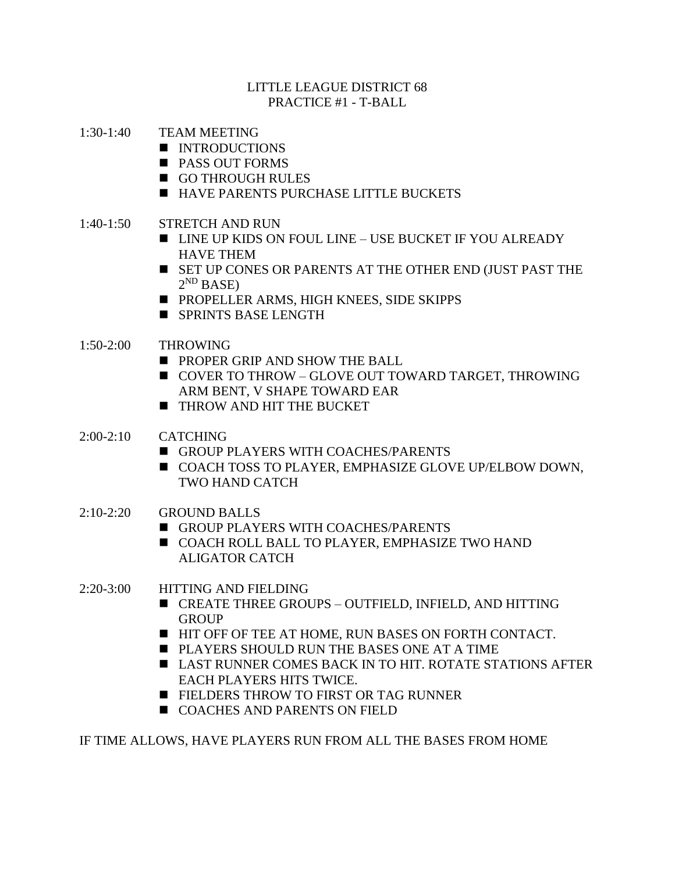### LITTLE LEAGUE DISTRICT 68 PRACTICE #1 - T-BALL

- 1:30-1:40 TEAM MEETING
	- INTRODUCTIONS
	- PASS OUT FORMS
	- GO THROUGH RULES
	- HAVE PARENTS PURCHASE LITTLE BUCKETS
- 1:40-1:50 STRETCH AND RUN
	- LINE UP KIDS ON FOUL LINE USE BUCKET IF YOU ALREADY HAVE THEM
	- SET UP CONES OR PARENTS AT THE OTHER END (JUST PAST THE  $2^{ND}$  BASE)
	- PROPELLER ARMS, HIGH KNEES, SIDE SKIPPS
	- SPRINTS BASE LENGTH

# 1:50-2:00 THROWING

- PROPER GRIP AND SHOW THE BALL
- COVER TO THROW GLOVE OUT TOWARD TARGET, THROWING ARM BENT, V SHAPE TOWARD EAR
- THROW AND HIT THE BUCKET
- 2:00-2:10 CATCHING
	- GROUP PLAYERS WITH COACHES/PARENTS
	- COACH TOSS TO PLAYER, EMPHASIZE GLOVE UP/ELBOW DOWN, TWO HAND CATCH
- 2:10-2:20 GROUND BALLS
	- GROUP PLAYERS WITH COACHES/PARENTS
	- COACH ROLL BALL TO PLAYER, EMPHASIZE TWO HAND ALIGATOR CATCH

# 2:20-3:00 HITTING AND FIELDING

- CREATE THREE GROUPS OUTFIELD, INFIELD, AND HITTING **GROUP**
- HIT OFF OF TEE AT HOME, RUN BASES ON FORTH CONTACT.
- PLAYERS SHOULD RUN THE BASES ONE AT A TIME
- LAST RUNNER COMES BACK IN TO HIT. ROTATE STATIONS AFTER EACH PLAYERS HITS TWICE.
- FIELDERS THROW TO FIRST OR TAG RUNNER
- COACHES AND PARENTS ON FIELD

IF TIME ALLOWS, HAVE PLAYERS RUN FROM ALL THE BASES FROM HOME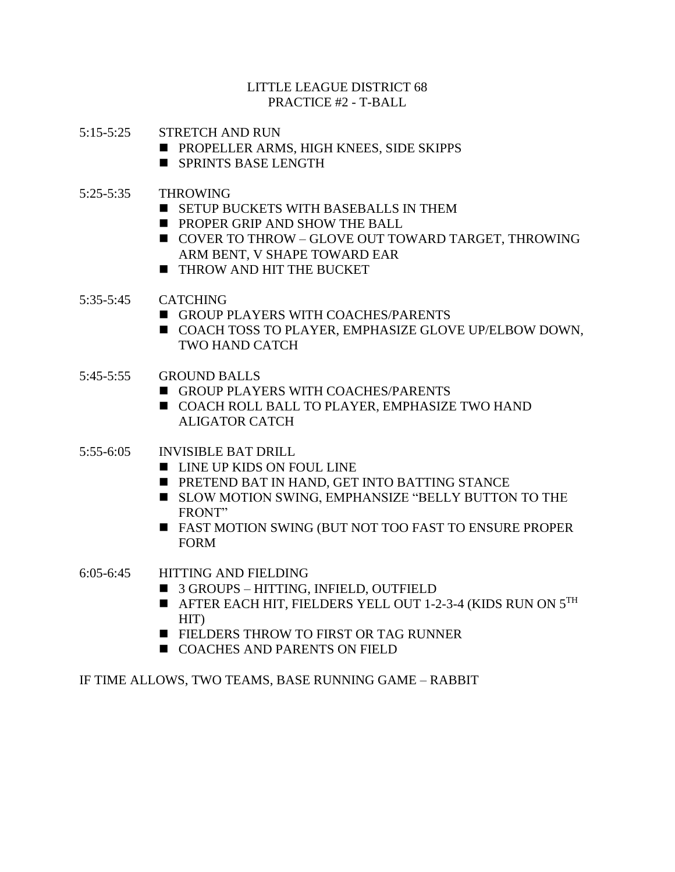### LITTLE LEAGUE DISTRICT 68 PRACTICE #2 - T-BALL

- 5:15-5:25 STRETCH AND RUN
	- PROPELLER ARMS, HIGH KNEES, SIDE SKIPPS
	- SPRINTS BASE LENGTH
- 5:25-5:35 THROWING
	- SETUP BUCKETS WITH BASEBALLS IN THEM
	- PROPER GRIP AND SHOW THE BALL
	- COVER TO THROW GLOVE OUT TOWARD TARGET, THROWING ARM BENT, V SHAPE TOWARD EAR
	- THROW AND HIT THE BUCKET
- 5:35-5:45 CATCHING
	- GROUP PLAYERS WITH COACHES/PARENTS
	- COACH TOSS TO PLAYER, EMPHASIZE GLOVE UP/ELBOW DOWN, TWO HAND CATCH
- 5:45-5:55 GROUND BALLS
	- GROUP PLAYERS WITH COACHES/PARENTS
	- COACH ROLL BALL TO PLAYER, EMPHASIZE TWO HAND ALIGATOR CATCH
- 5:55-6:05 INVISIBLE BAT DRILL
	- LINE UP KIDS ON FOUL LINE
	- PRETEND BAT IN HAND, GET INTO BATTING STANCE
	- SLOW MOTION SWING, EMPHANSIZE "BELLY BUTTON TO THE FRONT"
	- FAST MOTION SWING (BUT NOT TOO FAST TO ENSURE PROPER FORM
- 6:05-6:45 HITTING AND FIELDING
	- 3 GROUPS HITTING, INFIELD, OUTFIELD
	- $\blacksquare$  AFTER EACH HIT, FIELDERS YELL OUT 1-2-3-4 (KIDS RUN ON  $5^{\text{TH}}$ HIT)
	- FIELDERS THROW TO FIRST OR TAG RUNNER
	- COACHES AND PARENTS ON FIELD

IF TIME ALLOWS, TWO TEAMS, BASE RUNNING GAME – RABBIT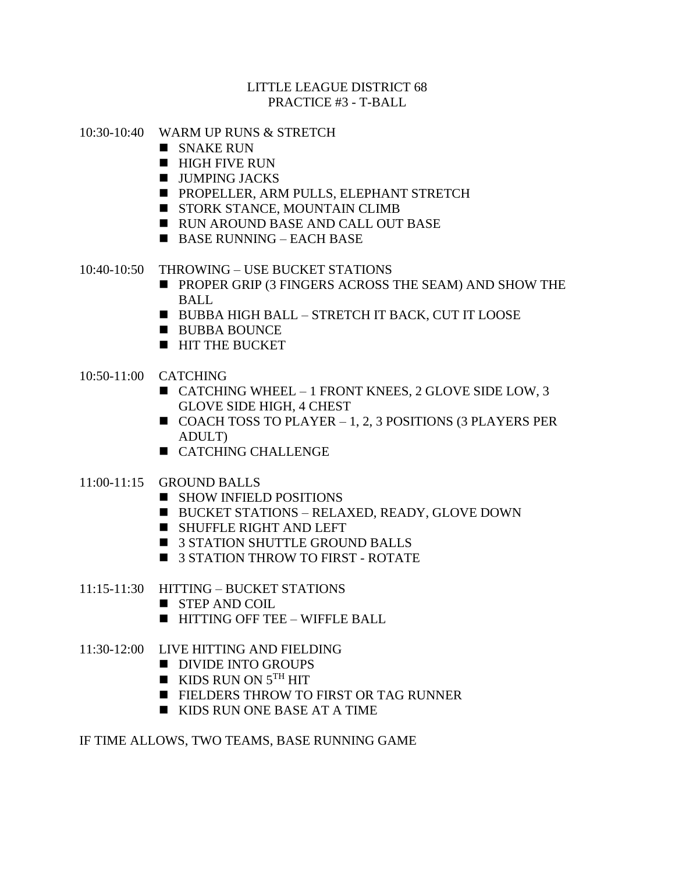### LITTLE LEAGUE DISTRICT 68 PRACTICE #3 - T-BALL

- 10:30-10:40 WARM UP RUNS & STRETCH
	- SNAKE RUN
	- $\blacksquare$  HIGH FIVE RUN
	- $\blacksquare$  JUMPING JACKS
	- PROPELLER, ARM PULLS, ELEPHANT STRETCH
	- STORK STANCE, MOUNTAIN CLIMB
	- RUN AROUND BASE AND CALL OUT BASE
	- BASE RUNNING EACH BASE
- 10:40-10:50 THROWING USE BUCKET STATIONS
	- PROPER GRIP (3 FINGERS ACROSS THE SEAM) AND SHOW THE BALL
	- BUBBA HIGH BALL STRETCH IT BACK, CUT IT LOOSE
	- BUBBA BOUNCE
	- HIT THE BUCKET
- 10:50-11:00 CATCHING
	- CATCHING WHEEL 1 FRONT KNEES, 2 GLOVE SIDE LOW, 3 GLOVE SIDE HIGH, 4 CHEST
	- $\blacksquare$  COACH TOSS TO PLAYER  $-1$ , 2, 3 POSITIONS (3 PLAYERS PER ADULT)
	- CATCHING CHALLENGE
- 11:00-11:15 GROUND BALLS
	- SHOW INFIELD POSITIONS
	- BUCKET STATIONS RELAXED, READY, GLOVE DOWN
	- SHUFFLE RIGHT AND LEFT
	- 3 STATION SHUTTLE GROUND BALLS
	- 3 STATION THROW TO FIRST ROTATE
- 11:15-11:30 HITTING BUCKET STATIONS
	- STEP AND COIL
	- HITTING OFF TEE WIFFLE BALL
- 11:30-12:00 LIVE HITTING AND FIELDING
	- DIVIDE INTO GROUPS
	- $\blacksquare$  KIDS RUN ON  $5^{TH}$  HIT
	- FIELDERS THROW TO FIRST OR TAG RUNNER
	- KIDS RUN ONE BASE AT A TIME

IF TIME ALLOWS, TWO TEAMS, BASE RUNNING GAME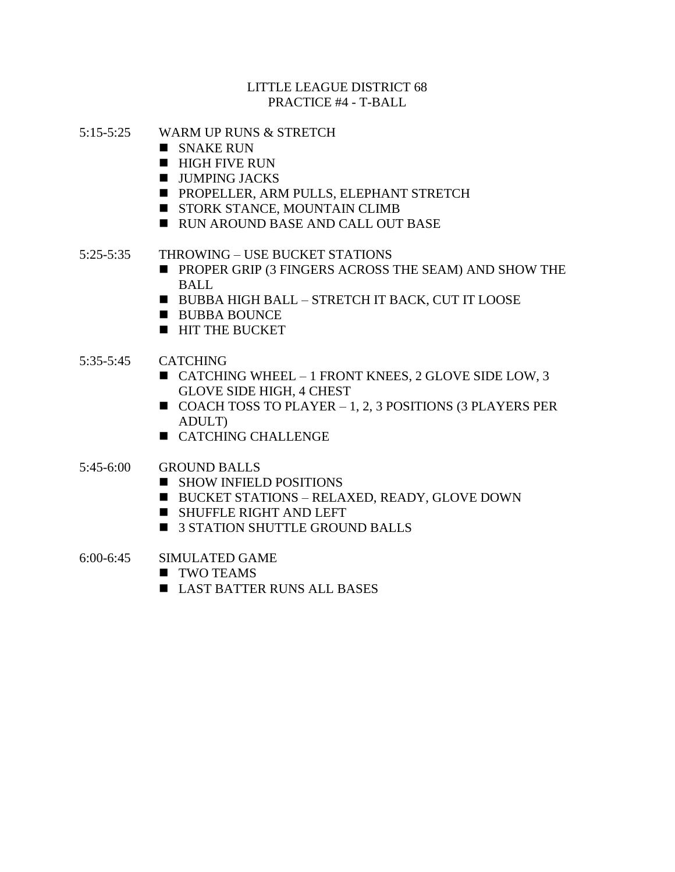### LITTLE LEAGUE DISTRICT 68 PRACTICE #4 - T-BALL

- 5:15-5:25 WARM UP RUNS & STRETCH
	- $\blacksquare$  SNAKE RUN
	- $\blacksquare$  HIGH FIVE RUN
	- $\blacksquare$  JUMPING JACKS
	- PROPELLER, ARM PULLS, ELEPHANT STRETCH
	- STORK STANCE, MOUNTAIN CLIMB
	- RUN AROUND BASE AND CALL OUT BASE
- 5:25-5:35 THROWING USE BUCKET STATIONS
	- PROPER GRIP (3 FINGERS ACROSS THE SEAM) AND SHOW THE BALL
	- BUBBA HIGH BALL STRETCH IT BACK, CUT IT LOOSE
	- BUBBA BOUNCE
	- HIT THE BUCKET
- 5:35-5:45 CATCHING
	- CATCHING WHEEL 1 FRONT KNEES, 2 GLOVE SIDE LOW, 3 GLOVE SIDE HIGH, 4 CHEST
	- $\blacksquare$  COACH TOSS TO PLAYER 1, 2, 3 POSITIONS (3 PLAYERS PER ADULT)
	- CATCHING CHALLENGE

# 5:45-6:00 GROUND BALLS

- SHOW INFIELD POSITIONS
- BUCKET STATIONS RELAXED, READY, GLOVE DOWN
- SHUFFLE RIGHT AND LEFT
- 3 STATION SHUTTLE GROUND BALLS
- 6:00-6:45 SIMULATED GAME
	- TWO TEAMS
	- LAST BATTER RUNS ALL BASES